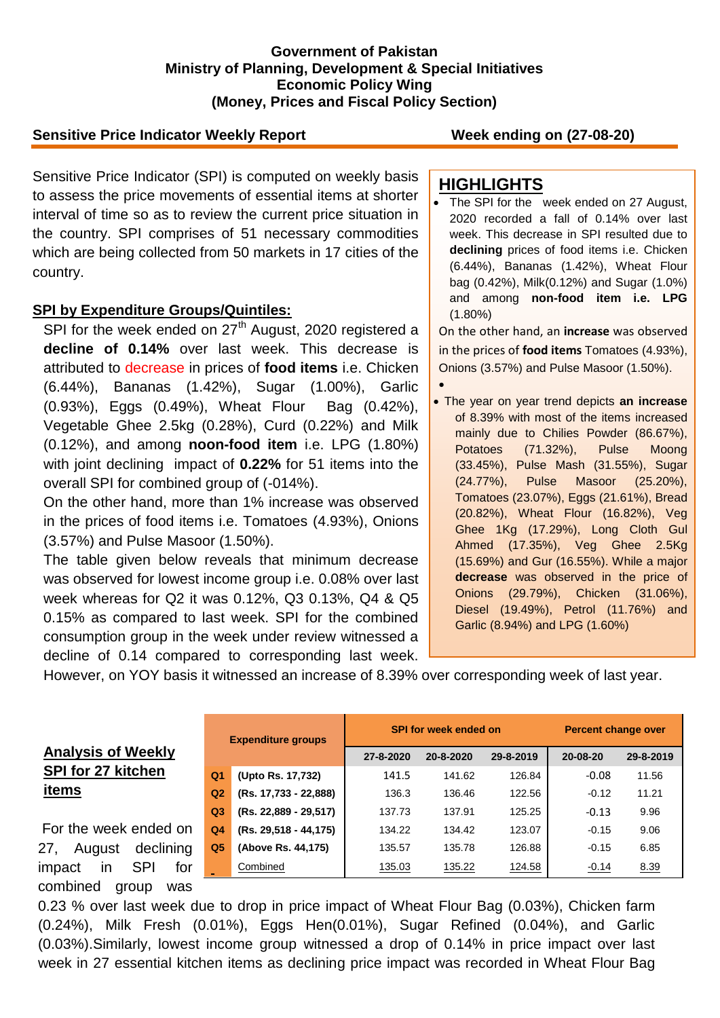### **Government of Pakistan Ministry of Planning, Development & Special Initiatives Economic Policy Wing (Money, Prices and Fiscal Policy Section)**

## **Sensitive Price Indicator Weekly Report Week ending on (27-08-20)**

Sensitive Price Indicator (SPI) is computed on weekly basis to assess the price movements of essential items at shorter interval of time so as to review the current price situation in the country. SPI comprises of 51 necessary commodities which are being collected from 50 markets in 17 cities of the country.

### **SPI by Expenditure Groups/Quintiles:**

SPI for the week ended on  $27<sup>th</sup>$  August, 2020 registered a **decline of 0.14%** over last week. This decrease is attributed to decrease in prices of **food items** i.e. Chicken (6.44%), Bananas (1.42%), Sugar (1.00%), Garlic (0.93%), Eggs (0.49%), Wheat Flour Bag (0.42%), Vegetable Ghee 2.5kg (0.28%), Curd (0.22%) and Milk (0.12%), and among **noon-food item** i.e. LPG (1.80%) with joint declining impact of **0.22%** for 51 items into the overall SPI for combined group of (-014%).

On the other hand, more than 1% increase was observed in the prices of food items i.e. Tomatoes (4.93%), Onions (3.57%) and Pulse Masoor (1.50%).

The table given below reveals that minimum decrease was observed for lowest income group i.e. 0.08% over last week whereas for Q2 it was 0.12%, Q3 0.13%, Q4 & Q5 0.15% as compared to last week. SPI for the combined consumption group in the week under review witnessed a decline of 0.14 compared to corresponding last week.

## **HIGHLIGHTS**

 The SPI for the week ended on 27 August, 2020 recorded a fall of 0.14% over last week. This decrease in SPI resulted due to **declining** prices of food items i.e. Chicken (6.44%), Bananas (1.42%), Wheat Flour bag (0.42%), Milk(0.12%) and Sugar (1.0%) and among **non-food item i.e. LPG** (1.80%)

On the other hand, an **increase** was observed in the prices of **food items** Tomatoes (4.93%), Onions (3.57%) and Pulse Masoor (1.50%).

 $\bullet$  The year on year trend depicts **an increase** of 8.39% with most of the items increased mainly due to Chilies Powder (86.67%), Potatoes (71.32%), Pulse Moong (33.45%), Pulse Mash (31.55%), Sugar (24.77%), Pulse Masoor (25.20%), Tomatoes (23.07%), Eggs (21.61%), Bread (20.82%), Wheat Flour (16.82%), Veg Ghee 1Kg (17.29%), Long Cloth Gul Ahmed (17.35%), Veg Ghee 2.5Kg (15.69%) and Gur (16.55%). While a major **decrease** was observed in the price of Onions (29.79%), Chicken (31.06%), Diesel (19.49%), Petrol (11.76%) and Garlic (8.94%) and LPG (1.60%)

However, on YOY basis it witnessed an increase of 8.39% over corresponding week of last year.

|    | <b>Expenditure groups</b> |                         | SPI for week ended on |           |           | <b>Percent change over</b> |           |  |
|----|---------------------------|-------------------------|-----------------------|-----------|-----------|----------------------------|-----------|--|
|    |                           |                         | 27-8-2020             | 20-8-2020 | 29-8-2019 | 20-08-20                   | 29-8-2019 |  |
|    | Q <sub>1</sub>            | (Upto Rs. 17,732)       | 141.5                 | 141.62    | 126.84    | $-0.08$                    | 11.56     |  |
|    | Q <sub>2</sub>            | (Rs. 17,733 - 22,888)   | 136.3                 | 136.46    | 122.56    | $-0.12$                    | 11.21     |  |
|    | Q <sub>3</sub>            | $(Rs. 22,889 - 29,517)$ | 137.73                | 137.91    | 125.25    | $-0.13$                    | 9.96      |  |
| m  | Q4                        | $(Rs. 29,518 - 44,175)$ | 134.22                | 134.42    | 123.07    | $-0.15$                    | 9.06      |  |
| ıg | Q <sub>5</sub>            | (Above Rs. 44,175)      | 135.57                | 135.78    | 126.88    | $-0.15$                    | 6.85      |  |
| эr |                           | Combined                | 135.03                | 135.22    | 124.58    | $-0.14$                    | 8.39      |  |

0.23 % over last week due to drop in price impact of Wheat Flour Bag (0.03%), Chicken farm (0.24%), Milk Fresh (0.01%), Eggs Hen(0.01%), Sugar Refined (0.04%), and Garlic (0.03%).Similarly, lowest income group witnessed a drop of 0.14% in price impact over last week in 27 essential kitchen items as declining price impact was recorded in Wheat Flour Bag

# **Analysis of Weekly SPI for 27 kitchen items**

For the week ended on 27, August declinin impact in SPI for combined group was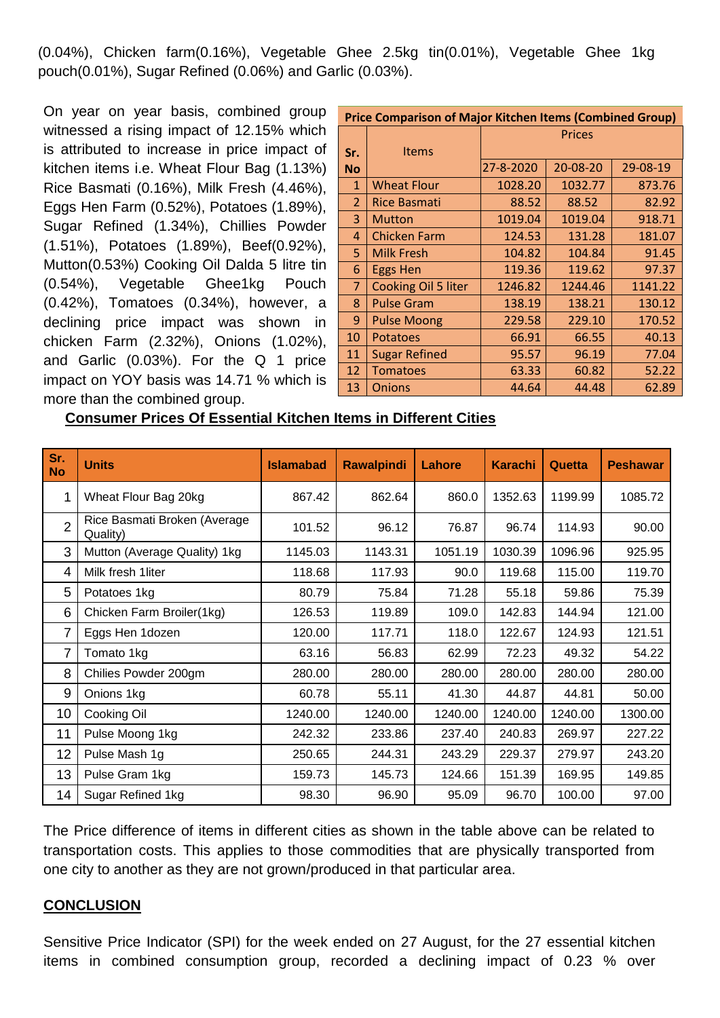(0.04%), Chicken farm(0.16%), Vegetable Ghee 2.5kg tin(0.01%), Vegetable Ghee 1kg pouch(0.01%), Sugar Refined (0.06%) and Garlic (0.03%).

On year on year basis, combined group witnessed a rising impact of 12.15% which is attributed to increase in price impact of kitchen items i.e. Wheat Flour Bag (1.13%) Rice Basmati (0.16%), Milk Fresh (4.46%), Eggs Hen Farm (0.52%), Potatoes (1.89%), Sugar Refined (1.34%), Chillies Powder (1.51%), Potatoes (1.89%), Beef(0.92%), Mutton(0.53%) Cooking Oil Dalda 5 litre tin (0.54%), Vegetable Ghee1kg Pouch (0.42%), Tomatoes (0.34%), however, a declining price impact was shown in chicken Farm (2.32%), Onions (1.02%), and Garlic (0.03%). For the Q 1 price impact on YOY basis was 14.71 % which is more than the combined group.

| <b>Price Comparison of Major Kitchen Items (Combined Group)</b> |                      |               |          |          |  |  |  |
|-----------------------------------------------------------------|----------------------|---------------|----------|----------|--|--|--|
|                                                                 |                      | <b>Prices</b> |          |          |  |  |  |
| Sr.                                                             | <b>Items</b>         |               |          |          |  |  |  |
| <b>No</b>                                                       |                      | 27-8-2020     | 20-08-20 | 29-08-19 |  |  |  |
| $\mathbf{1}$                                                    | <b>Wheat Flour</b>   | 1028.20       | 1032.77  | 873.76   |  |  |  |
| $\overline{2}$                                                  | <b>Rice Basmati</b>  | 88.52         | 88.52    | 82.92    |  |  |  |
| 3                                                               | <b>Mutton</b>        | 1019.04       | 1019.04  | 918.71   |  |  |  |
| 4                                                               | <b>Chicken Farm</b>  | 124.53        | 131.28   | 181.07   |  |  |  |
| 5.                                                              | <b>Milk Fresh</b>    | 104.82        | 104.84   | 91.45    |  |  |  |
| 6                                                               | <b>Eggs Hen</b>      | 119.36        | 119.62   | 97.37    |  |  |  |
| 7                                                               | Cooking Oil 5 liter  | 1246.82       | 1244.46  | 1141.22  |  |  |  |
| 8                                                               | <b>Pulse Gram</b>    | 138.19        | 138.21   | 130.12   |  |  |  |
| 9                                                               | <b>Pulse Moong</b>   | 229.58        | 229.10   | 170.52   |  |  |  |
| 10                                                              | <b>Potatoes</b>      | 66.91         | 66.55    | 40.13    |  |  |  |
| 11                                                              | <b>Sugar Refined</b> | 95.57         | 96.19    | 77.04    |  |  |  |
| 12                                                              | <b>Tomatoes</b>      | 63.33         | 60.82    | 52.22    |  |  |  |
| 13                                                              | <b>Onions</b>        | 44.64         | 44.48    | 62.89    |  |  |  |

## **Consumer Prices Of Essential Kitchen Items in Different Cities**

| Sr.<br><b>No</b> | <b>Units</b>                             | <b>Islamabad</b> | <b>Rawalpindi</b> | Lahore  | <b>Karachi</b> | Quetta  | <b>Peshawar</b> |
|------------------|------------------------------------------|------------------|-------------------|---------|----------------|---------|-----------------|
| 1                | Wheat Flour Bag 20kg                     | 867.42           | 862.64            | 860.0   | 1352.63        | 1199.99 | 1085.72         |
| $\overline{2}$   | Rice Basmati Broken (Average<br>Quality) | 101.52           | 96.12             | 76.87   | 96.74          | 114.93  | 90.00           |
| 3                | Mutton (Average Quality) 1kg             | 1145.03          | 1143.31           | 1051.19 | 1030.39        | 1096.96 | 925.95          |
| 4                | Milk fresh 1liter                        | 118.68           | 117.93            | 90.0    | 119.68         | 115.00  | 119.70          |
| 5                | Potatoes 1kg                             | 80.79            | 75.84             | 71.28   | 55.18          | 59.86   | 75.39           |
| 6                | Chicken Farm Broiler(1kg)                | 126.53           | 119.89            | 109.0   | 142.83         | 144.94  | 121.00          |
| 7                | Eggs Hen 1dozen                          | 120.00           | 117.71            | 118.0   | 122.67         | 124.93  | 121.51          |
| 7                | Tomato 1kg                               | 63.16            | 56.83             | 62.99   | 72.23          | 49.32   | 54.22           |
| 8                | Chilies Powder 200gm                     | 280.00           | 280.00            | 280.00  | 280.00         | 280.00  | 280.00          |
| 9                | Onions 1kg                               | 60.78            | 55.11             | 41.30   | 44.87          | 44.81   | 50.00           |
| 10               | Cooking Oil                              | 1240.00          | 1240.00           | 1240.00 | 1240.00        | 1240.00 | 1300.00         |
| 11               | Pulse Moong 1kg                          | 242.32           | 233.86            | 237.40  | 240.83         | 269.97  | 227.22          |
| 12               | Pulse Mash 1g                            | 250.65           | 244.31            | 243.29  | 229.37         | 279.97  | 243.20          |
| 13               | Pulse Gram 1kg                           | 159.73           | 145.73            | 124.66  | 151.39         | 169.95  | 149.85          |
| 14               | Sugar Refined 1kg                        | 98.30            | 96.90             | 95.09   | 96.70          | 100.00  | 97.00           |

The Price difference of items in different cities as shown in the table above can be related to transportation costs. This applies to those commodities that are physically transported from one city to another as they are not grown/produced in that particular area.

## **CONCLUSION**

Sensitive Price Indicator (SPI) for the week ended on 27 August, for the 27 essential kitchen items in combined consumption group, recorded a declining impact of 0.23 % over